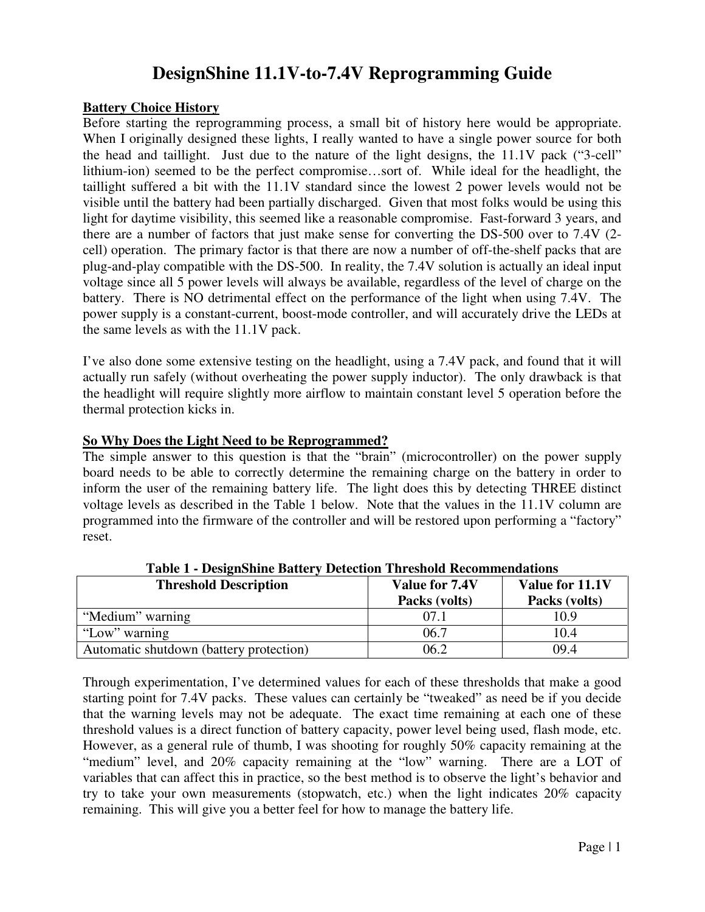# **DesignShine 11.1V-to-7.4V Reprogramming Guide**

#### **Battery Choice History**

Before starting the reprogramming process, a small bit of history here would be appropriate. When I originally designed these lights, I really wanted to have a single power source for both the head and taillight. Just due to the nature of the light designs, the 11.1V pack ("3-cell" lithium-ion) seemed to be the perfect compromise…sort of. While ideal for the headlight, the taillight suffered a bit with the 11.1V standard since the lowest 2 power levels would not be visible until the battery had been partially discharged. Given that most folks would be using this light for daytime visibility, this seemed like a reasonable compromise. Fast-forward 3 years, and there are a number of factors that just make sense for converting the DS-500 over to 7.4V (2 cell) operation. The primary factor is that there are now a number of off-the-shelf packs that are plug-and-play compatible with the DS-500. In reality, the 7.4V solution is actually an ideal input voltage since all 5 power levels will always be available, regardless of the level of charge on the battery. There is NO detrimental effect on the performance of the light when using 7.4V. The power supply is a constant-current, boost-mode controller, and will accurately drive the LEDs at the same levels as with the 11.1V pack.

I've also done some extensive testing on the headlight, using a 7.4V pack, and found that it will actually run safely (without overheating the power supply inductor). The only drawback is that the headlight will require slightly more airflow to maintain constant level 5 operation before the thermal protection kicks in.

### **So Why Does the Light Need to be Reprogrammed?**

The simple answer to this question is that the "brain" (microcontroller) on the power supply board needs to be able to correctly determine the remaining charge on the battery in order to inform the user of the remaining battery life. The light does this by detecting THREE distinct voltage levels as described in the Table 1 below. Note that the values in the 11.1V column are programmed into the firmware of the controller and will be restored upon performing a "factory" reset.

| <b>Threshold Description</b>            | Value for 7.4V<br>Packs (volts) | Value for 11.1V<br>Packs (volts) |
|-----------------------------------------|---------------------------------|----------------------------------|
| "Medium" warning                        | 07.1                            | 10.9                             |
| "Low" warning                           | 06.7                            | 10.4                             |
| Automatic shutdown (battery protection) | 06.2                            | 09.4                             |

**Table 1 - DesignShine Battery Detection Threshold Recommendations** 

Through experimentation, I've determined values for each of these thresholds that make a good starting point for 7.4V packs. These values can certainly be "tweaked" as need be if you decide that the warning levels may not be adequate. The exact time remaining at each one of these threshold values is a direct function of battery capacity, power level being used, flash mode, etc. However, as a general rule of thumb, I was shooting for roughly 50% capacity remaining at the "medium" level, and 20% capacity remaining at the "low" warning. There are a LOT of variables that can affect this in practice, so the best method is to observe the light's behavior and try to take your own measurements (stopwatch, etc.) when the light indicates 20% capacity remaining. This will give you a better feel for how to manage the battery life.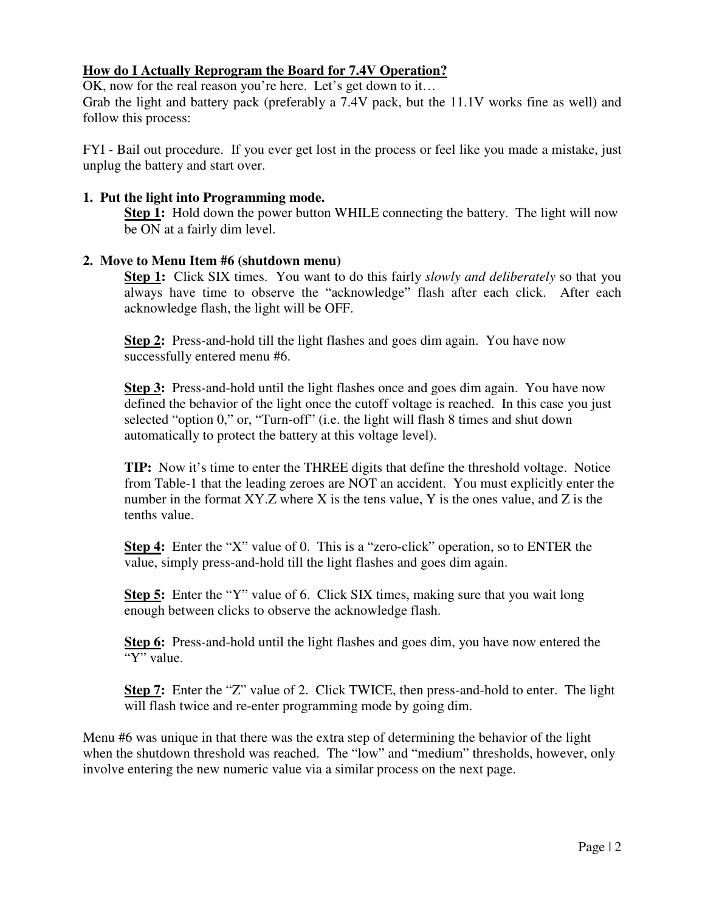# **How do I Actually Reprogram the Board for 7.4V Operation?**

OK, now for the real reason you're here. Let's get down to it…

Grab the light and battery pack (preferably a 7.4V pack, but the 11.1V works fine as well) and follow this process:

FYI - Bail out procedure. If you ever get lost in the process or feel like you made a mistake, just unplug the battery and start over.

## **1. Put the light into Programming mode.**

**Step 1:** Hold down the power button WHILE connecting the battery. The light will now be ON at a fairly dim level.

## **2. Move to Menu Item #6 (shutdown menu)**

**Step 1:** Click SIX times. You want to do this fairly *slowly and deliberately* so that you always have time to observe the "acknowledge" flash after each click. After each acknowledge flash, the light will be OFF.

**Step 2:** Press-and-hold till the light flashes and goes dim again. You have now successfully entered menu #6.

**Step 3:** Press-and-hold until the light flashes once and goes dim again. You have now defined the behavior of the light once the cutoff voltage is reached. In this case you just selected "option 0," or, "Turn-off" (i.e. the light will flash 8 times and shut down automatically to protect the battery at this voltage level).

**TIP:** Now it's time to enter the THREE digits that define the threshold voltage. Notice from Table-1 that the leading zeroes are NOT an accident. You must explicitly enter the number in the format  $XY.Z$  where X is the tens value, Y is the ones value, and Z is the tenths value.

**Step 4:** Enter the "X" value of 0. This is a "zero-click" operation, so to ENTER the value, simply press-and-hold till the light flashes and goes dim again.

**Step 5:** Enter the "Y" value of 6. Click SIX times, making sure that you wait long enough between clicks to observe the acknowledge flash.

**Step 6:** Press-and-hold until the light flashes and goes dim, you have now entered the "Y" value.

**Step 7:** Enter the "Z" value of 2. Click TWICE, then press-and-hold to enter. The light will flash twice and re-enter programming mode by going dim.

Menu #6 was unique in that there was the extra step of determining the behavior of the light when the shutdown threshold was reached. The "low" and "medium" thresholds, however, only involve entering the new numeric value via a similar process on the next page.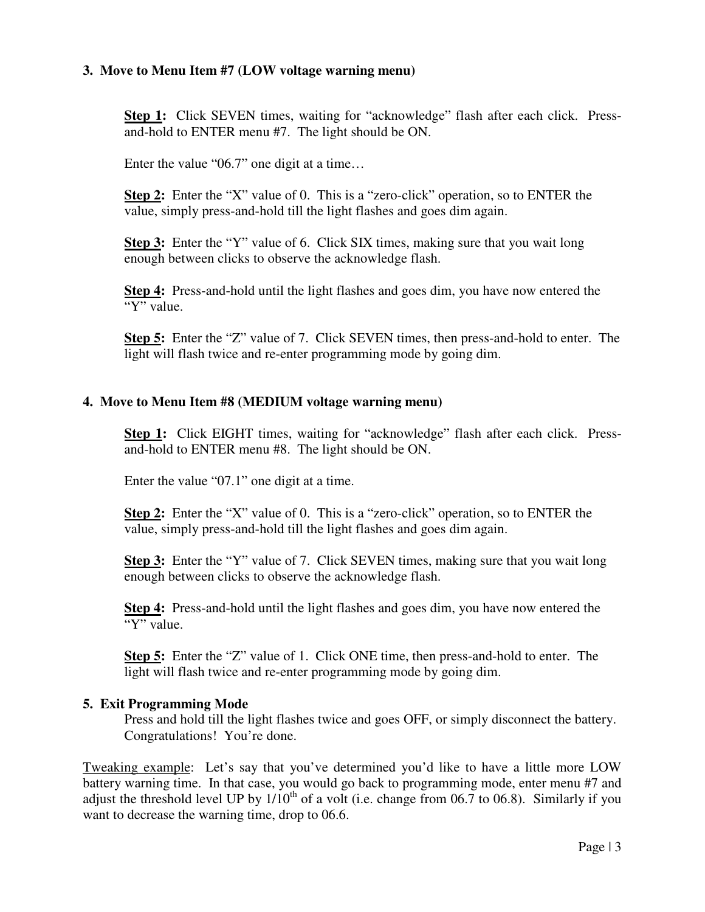## **3. Move to Menu Item #7 (LOW voltage warning menu)**

**Step 1:** Click SEVEN times, waiting for "acknowledge" flash after each click. Pressand-hold to ENTER menu #7. The light should be ON.

Enter the value "06.7" one digit at a time…

**Step 2:** Enter the "X" value of 0. This is a "zero-click" operation, so to ENTER the value, simply press-and-hold till the light flashes and goes dim again.

**Step 3:** Enter the "Y" value of 6. Click SIX times, making sure that you wait long enough between clicks to observe the acknowledge flash.

**Step 4:** Press-and-hold until the light flashes and goes dim, you have now entered the "Y" value.

**Step 5:** Enter the "Z" value of 7. Click SEVEN times, then press-and-hold to enter. The light will flash twice and re-enter programming mode by going dim.

## **4. Move to Menu Item #8 (MEDIUM voltage warning menu)**

**Step 1:** Click EIGHT times, waiting for "acknowledge" flash after each click. Pressand-hold to ENTER menu #8. The light should be ON.

Enter the value "07.1" one digit at a time.

**Step 2:** Enter the "X" value of 0. This is a "zero-click" operation, so to ENTER the value, simply press-and-hold till the light flashes and goes dim again.

**Step 3:** Enter the "Y" value of 7. Click SEVEN times, making sure that you wait long enough between clicks to observe the acknowledge flash.

**Step 4:** Press-and-hold until the light flashes and goes dim, you have now entered the "Y" value.

**Step 5:** Enter the "Z" value of 1. Click ONE time, then press-and-hold to enter. The light will flash twice and re-enter programming mode by going dim.

### **5. Exit Programming Mode**

Press and hold till the light flashes twice and goes OFF, or simply disconnect the battery. Congratulations! You're done.

Tweaking example: Let's say that you've determined you'd like to have a little more LOW battery warning time. In that case, you would go back to programming mode, enter menu #7 and adjust the threshold level UP by  $1/10^{th}$  of a volt (i.e. change from 06.7 to 06.8). Similarly if you want to decrease the warning time, drop to 06.6.